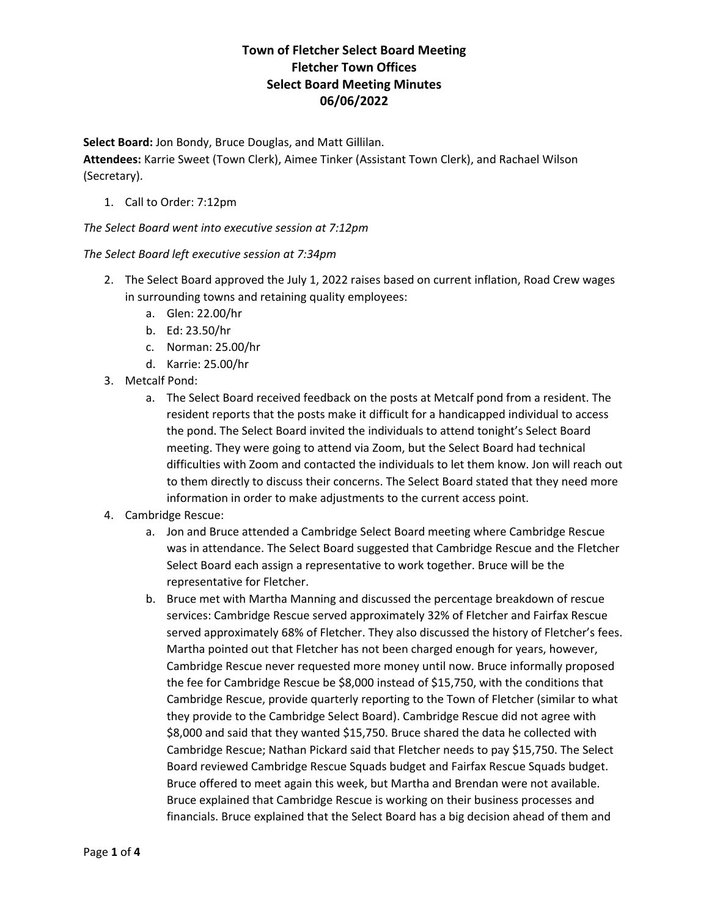**Select Board:** Jon Bondy, Bruce Douglas, and Matt Gillilan.

**Attendees:** Karrie Sweet (Town Clerk), Aimee Tinker (Assistant Town Clerk), and Rachael Wilson (Secretary).

1. Call to Order: 7:12pm

*The Select Board went into executive session at 7:12pm*

*The Select Board left executive session at 7:34pm*

- 2. The Select Board approved the July 1, 2022 raises based on current inflation, Road Crew wages in surrounding towns and retaining quality employees:
	- a. Glen: 22.00/hr
	- b. Ed: 23.50/hr
	- c. Norman: 25.00/hr
	- d. Karrie: 25.00/hr
- 3. Metcalf Pond:
	- a. The Select Board received feedback on the posts at Metcalf pond from a resident. The resident reports that the posts make it difficult for a handicapped individual to access the pond. The Select Board invited the individuals to attend tonight's Select Board meeting. They were going to attend via Zoom, but the Select Board had technical difficulties with Zoom and contacted the individuals to let them know. Jon will reach out to them directly to discuss their concerns. The Select Board stated that they need more information in order to make adjustments to the current access point.
- 4. Cambridge Rescue:
	- a. Jon and Bruce attended a Cambridge Select Board meeting where Cambridge Rescue was in attendance. The Select Board suggested that Cambridge Rescue and the Fletcher Select Board each assign a representative to work together. Bruce will be the representative for Fletcher.
	- b. Bruce met with Martha Manning and discussed the percentage breakdown of rescue services: Cambridge Rescue served approximately 32% of Fletcher and Fairfax Rescue served approximately 68% of Fletcher. They also discussed the history of Fletcher's fees. Martha pointed out that Fletcher has not been charged enough for years, however, Cambridge Rescue never requested more money until now. Bruce informally proposed the fee for Cambridge Rescue be \$8,000 instead of \$15,750, with the conditions that Cambridge Rescue, provide quarterly reporting to the Town of Fletcher (similar to what they provide to the Cambridge Select Board). Cambridge Rescue did not agree with \$8,000 and said that they wanted \$15,750. Bruce shared the data he collected with Cambridge Rescue; Nathan Pickard said that Fletcher needs to pay \$15,750. The Select Board reviewed Cambridge Rescue Squads budget and Fairfax Rescue Squads budget. Bruce offered to meet again this week, but Martha and Brendan were not available. Bruce explained that Cambridge Rescue is working on their business processes and financials. Bruce explained that the Select Board has a big decision ahead of them and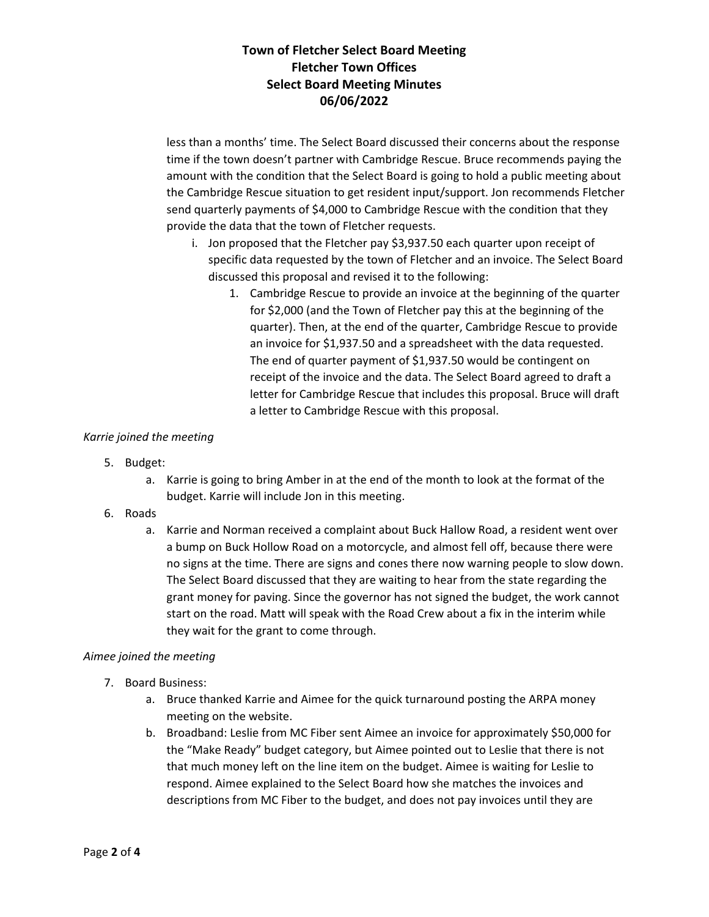less than a months' time. The Select Board discussed their concerns about the response time if the town doesn't partner with Cambridge Rescue. Bruce recommends paying the amount with the condition that the Select Board is going to hold a public meeting about the Cambridge Rescue situation to get resident input/support. Jon recommends Fletcher send quarterly payments of \$4,000 to Cambridge Rescue with the condition that they provide the data that the town of Fletcher requests.

- i. Jon proposed that the Fletcher pay \$3,937.50 each quarter upon receipt of specific data requested by the town of Fletcher and an invoice. The Select Board discussed this proposal and revised it to the following:
	- 1. Cambridge Rescue to provide an invoice at the beginning of the quarter for \$2,000 (and the Town of Fletcher pay this at the beginning of the quarter). Then, at the end of the quarter, Cambridge Rescue to provide an invoice for \$1,937.50 and a spreadsheet with the data requested. The end of quarter payment of \$1,937.50 would be contingent on receipt of the invoice and the data. The Select Board agreed to draft a letter for Cambridge Rescue that includes this proposal. Bruce will draft a letter to Cambridge Rescue with this proposal.

### *Karrie joined the meeting*

- 5. Budget:
	- a. Karrie is going to bring Amber in at the end of the month to look at the format of the budget. Karrie will include Jon in this meeting.
- 6. Roads
	- a. Karrie and Norman received a complaint about Buck Hallow Road, a resident went over a bump on Buck Hollow Road on a motorcycle, and almost fell off, because there were no signs at the time. There are signs and cones there now warning people to slow down. The Select Board discussed that they are waiting to hear from the state regarding the grant money for paving. Since the governor has not signed the budget, the work cannot start on the road. Matt will speak with the Road Crew about a fix in the interim while they wait for the grant to come through.

### *Aimee joined the meeting*

- 7. Board Business:
	- a. Bruce thanked Karrie and Aimee for the quick turnaround posting the ARPA money meeting on the website.
	- b. Broadband: Leslie from MC Fiber sent Aimee an invoice for approximately \$50,000 for the "Make Ready" budget category, but Aimee pointed out to Leslie that there is not that much money left on the line item on the budget. Aimee is waiting for Leslie to respond. Aimee explained to the Select Board how she matches the invoices and descriptions from MC Fiber to the budget, and does not pay invoices until they are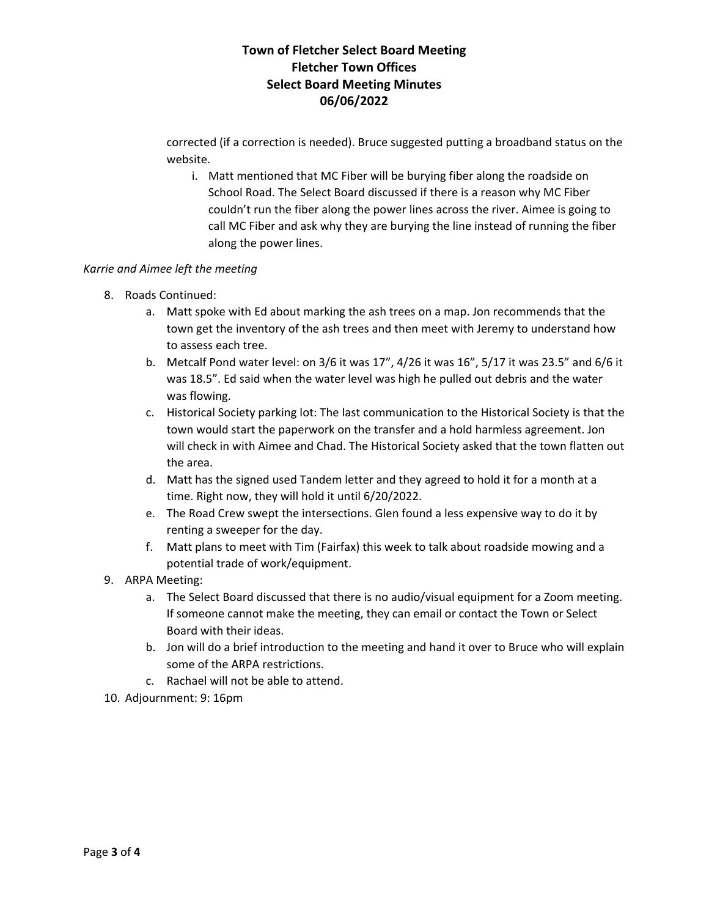corrected (if a correction is needed). Bruce suggested putting a broadband status on the website.

i. Matt mentioned that MC Fiber will be burying fiber along the roadside on School Road. The Select Board discussed if there is a reason why MC Fiber couldn't run the fiber along the power lines across the river. Aimee is going to call MC Fiber and ask why they are burying the line instead of running the fiber along the power lines.

#### *Karrie and Aimee left the meeting*

- 8. Roads Continued:
	- a. Matt spoke with Ed about marking the ash trees on a map. Jon recommends that the town get the inventory of the ash trees and then meet with Jeremy to understand how to assess each tree.
	- b. Metcalf Pond water level: on 3/6 it was 17", 4/26 it was 16", 5/17 it was 23.5" and 6/6 it was 18.5". Ed said when the water level was high he pulled out debris and the water was flowing.
	- c. Historical Society parking lot: The last communication to the Historical Society is that the town would start the paperwork on the transfer and a hold harmless agreement. Jon will check in with Aimee and Chad. The Historical Society asked that the town flatten out the area.
	- d. Matt has the signed used Tandem letter and they agreed to hold it for a month at a time. Right now, they will hold it until 6/20/2022.
	- e. The Road Crew swept the intersections. Glen found a less expensive way to do it by renting a sweeper for the day.
	- f. Matt plans to meet with Tim (Fairfax) this week to talk about roadside mowing and a potential trade of work/equipment.
- 9. ARPA Meeting:
	- a. The Select Board discussed that there is no audio/visual equipment for a Zoom meeting. If someone cannot make the meeting, they can email or contact the Town or Select Board with their ideas.
	- b. Jon will do a brief introduction to the meeting and hand it over to Bruce who will explain some of the ARPA restrictions.
	- c. Rachael will not be able to attend.
- 10. Adjournment: 9: 16pm